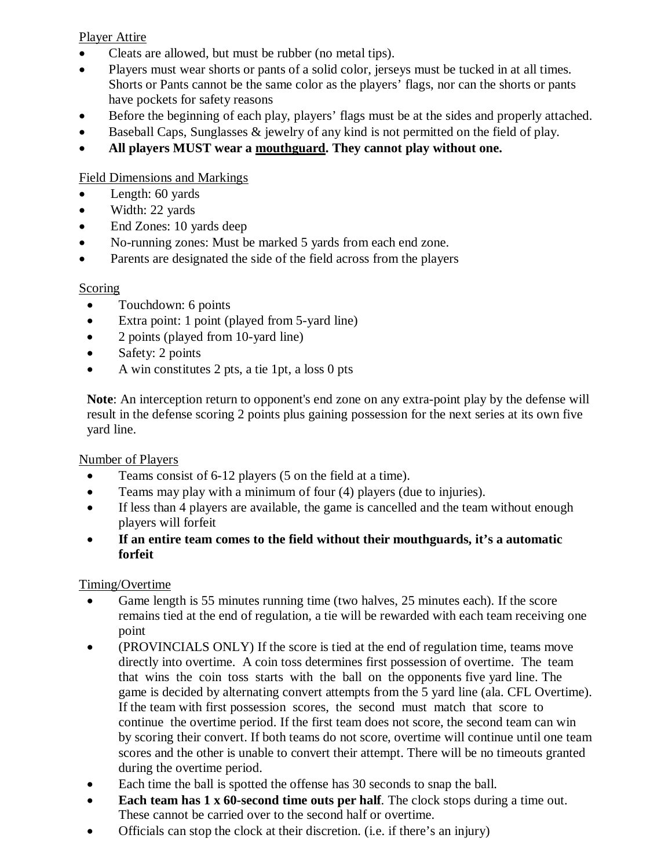#### Player Attire

- Cleats are allowed, but must be rubber (no metal tips).
- Players must wear shorts or pants of a solid color, jerseys must be tucked in at all times. Shorts or Pants cannot be the same color as the players' flags, nor can the shorts or pants have pockets for safety reasons
- Before the beginning of each play, players' flags must be at the sides and properly attached.
- Baseball Caps, Sunglasses & jewelry of any kind is not permitted on the field of play.
- **All players MUST wear a mouthguard. They cannot play without one.**

#### Field Dimensions and Markings

- Length: 60 yards
- Width: 22 yards
- End Zones: 10 yards deep
- No-running zones: Must be marked 5 yards from each end zone.
- Parents are designated the side of the field across from the players

#### **Scoring**

- Touchdown: 6 points
- Extra point: 1 point (played from 5-yard line)
- 2 points (played from 10-yard line)
- Safety: 2 points
- A win constitutes 2 pts, a tie 1pt, a loss 0 pts

**Note**: An interception return to opponent's end zone on any extra-point play by the defense will result in the defense scoring 2 points plus gaining possession for the next series at its own five yard line.

#### Number of Players

- Teams consist of 6-12 players (5 on the field at a time).
- Teams may play with a minimum of four (4) players (due to injuries).
- If less than 4 players are available, the game is cancelled and the team without enough players will forfeit
- **If an entire team comes to the field without their mouthguards, it's a automatic forfeit**

#### Timing/Overtime

- Game length is 55 minutes running time (two halves, 25 minutes each). If the score remains tied at the end of regulation, a tie will be rewarded with each team receiving one point
- (PROVINCIALS ONLY) If the score is tied at the end of regulation time, teams move directly into overtime. A coin toss determines first possession of overtime. The team that wins the coin toss starts with the ball on the opponents five yard line. The game is decided by alternating convert attempts from the 5 yard line (ala. CFL Overtime). If the team with first possession scores, the second must match that score to continue the overtime period. If the first team does not score, the second team can win by scoring their convert. If both teams do not score, overtime will continue until one team scores and the other is unable to convert their attempt. There will be no timeouts granted during the overtime period.
- Each time the ball is spotted the offense has 30 seconds to snap the ball.
- **Each team has 1 x 60-second time outs per half**. The clock stops during a time out. These cannot be carried over to the second half or overtime.
- Officials can stop the clock at their discretion. (i.e. if there's an injury)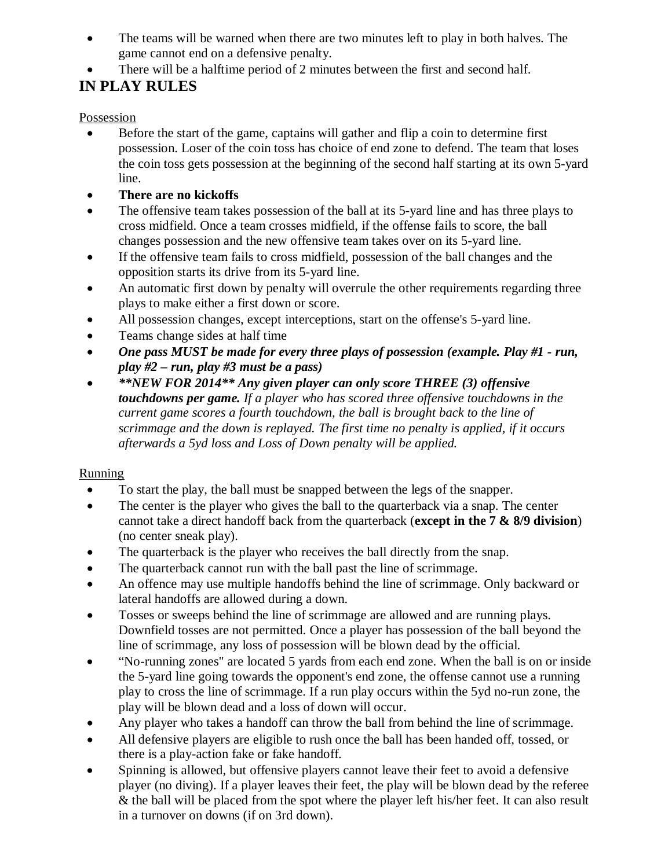- The teams will be warned when there are two minutes left to play in both halves. The game cannot end on a defensive penalty.
- There will be a halftime period of 2 minutes between the first and second half.

# **IN PLAY RULES**

Possession

- Before the start of the game, captains will gather and flip a coin to determine first possession. Loser of the coin toss has choice of end zone to defend. The team that loses the coin toss gets possession at the beginning of the second half starting at its own 5-yard line.
- **There are no kickoffs**
- The offensive team takes possession of the ball at its 5-yard line and has three plays to cross midfield. Once a team crosses midfield, if the offense fails to score, the ball changes possession and the new offensive team takes over on its 5-yard line.
- If the offensive team fails to cross midfield, possession of the ball changes and the opposition starts its drive from its 5-yard line.
- An automatic first down by penalty will overrule the other requirements regarding three plays to make either a first down or score.
- All possession changes, except interceptions, start on the offense's 5-yard line.
- Teams change sides at half time
- *One pass MUST be made for every three plays of possession (example. Play #1 - run, play #2 – run, play #3 must be a pass)*
- *\*\*NEW FOR 2014\*\* Any given player can only score THREE (3) offensive touchdowns per game. If a player who has scored three offensive touchdowns in the current game scores a fourth touchdown, the ball is brought back to the line of scrimmage and the down is replayed. The first time no penalty is applied, if it occurs afterwards a 5yd loss and Loss of Down penalty will be applied.*

## **Running**

- To start the play, the ball must be snapped between the legs of the snapper.
- The center is the player who gives the ball to the quarterback via a snap. The center cannot take a direct handoff back from the quarterback (**except in the 7 & 8/9 division**) (no center sneak play).
- The quarterback is the player who receives the ball directly from the snap.
- The quarterback cannot run with the ball past the line of scrimmage.
- An offence may use multiple handoffs behind the line of scrimmage. Only backward or lateral handoffs are allowed during a down.
- Tosses or sweeps behind the line of scrimmage are allowed and are running plays. Downfield tosses are not permitted. Once a player has possession of the ball beyond the line of scrimmage, any loss of possession will be blown dead by the official.
- "No-running zones" are located 5 yards from each end zone. When the ball is on or inside the 5-yard line going towards the opponent's end zone, the offense cannot use a running play to cross the line of scrimmage. If a run play occurs within the 5yd no-run zone, the play will be blown dead and a loss of down will occur.
- Any player who takes a handoff can throw the ball from behind the line of scrimmage.
- All defensive players are eligible to rush once the ball has been handed off, tossed, or there is a play-action fake or fake handoff.
- Spinning is allowed, but offensive players cannot leave their feet to avoid a defensive player (no diving). If a player leaves their feet, the play will be blown dead by the referee & the ball will be placed from the spot where the player left his/her feet. It can also result in a turnover on downs (if on 3rd down).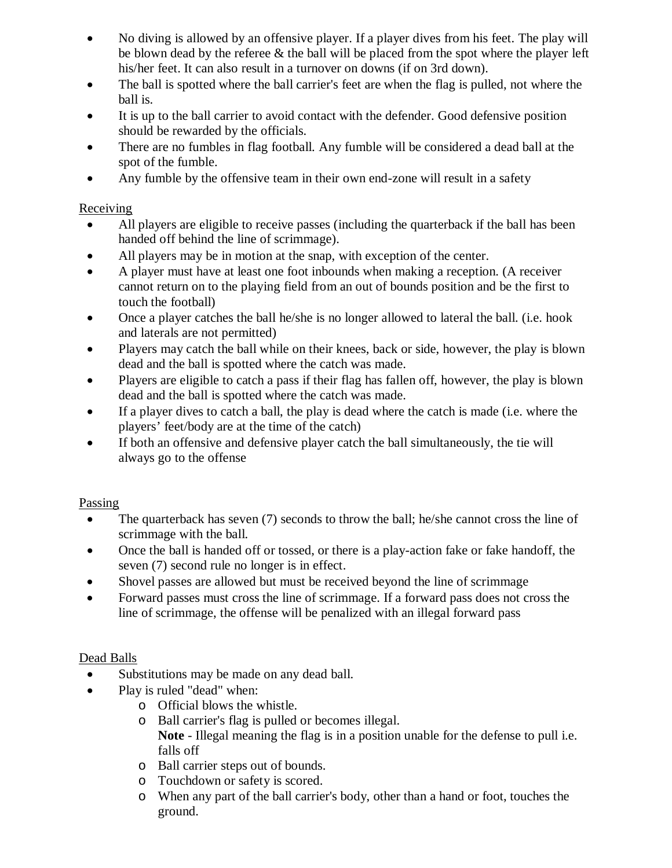- No diving is allowed by an offensive player. If a player dives from his feet. The play will be blown dead by the referee & the ball will be placed from the spot where the player left his/her feet. It can also result in a turnover on downs (if on 3rd down).
- The ball is spotted where the ball carrier's feet are when the flag is pulled, not where the ball is.
- It is up to the ball carrier to avoid contact with the defender. Good defensive position should be rewarded by the officials.
- There are no fumbles in flag football. Any fumble will be considered a dead ball at the spot of the fumble.
- Any fumble by the offensive team in their own end-zone will result in a safety

#### Receiving

- All players are eligible to receive passes (including the quarterback if the ball has been handed off behind the line of scrimmage).
- All players may be in motion at the snap, with exception of the center.
- A player must have at least one foot inbounds when making a reception. (A receiver cannot return on to the playing field from an out of bounds position and be the first to touch the football)
- Once a player catches the ball he/she is no longer allowed to lateral the ball. (i.e. hook and laterals are not permitted)
- Players may catch the ball while on their knees, back or side, however, the play is blown dead and the ball is spotted where the catch was made.
- Players are eligible to catch a pass if their flag has fallen off, however, the play is blown dead and the ball is spotted where the catch was made.
- If a player dives to catch a ball, the play is dead where the catch is made (i.e. where the players' feet/body are at the time of the catch)
- If both an offensive and defensive player catch the ball simultaneously, the tie will always go to the offense

## Passing

- The quarterback has seven (7) seconds to throw the ball; he/she cannot cross the line of scrimmage with the ball.
- Once the ball is handed off or tossed, or there is a play-action fake or fake handoff, the seven (7) second rule no longer is in effect.
- Shovel passes are allowed but must be received beyond the line of scrimmage
- Forward passes must cross the line of scrimmage. If a forward pass does not cross the line of scrimmage, the offense will be penalized with an illegal forward pass

## Dead Balls

- Substitutions may be made on any dead ball.
- Play is ruled "dead" when:
	- o Official blows the whistle.
	- o Ball carrier's flag is pulled or becomes illegal. **Note** - Illegal meaning the flag is in a position unable for the defense to pull i.e. falls off
	- o Ball carrier steps out of bounds.
	- o Touchdown or safety is scored.
	- o When any part of the ball carrier's body, other than a hand or foot, touches the ground.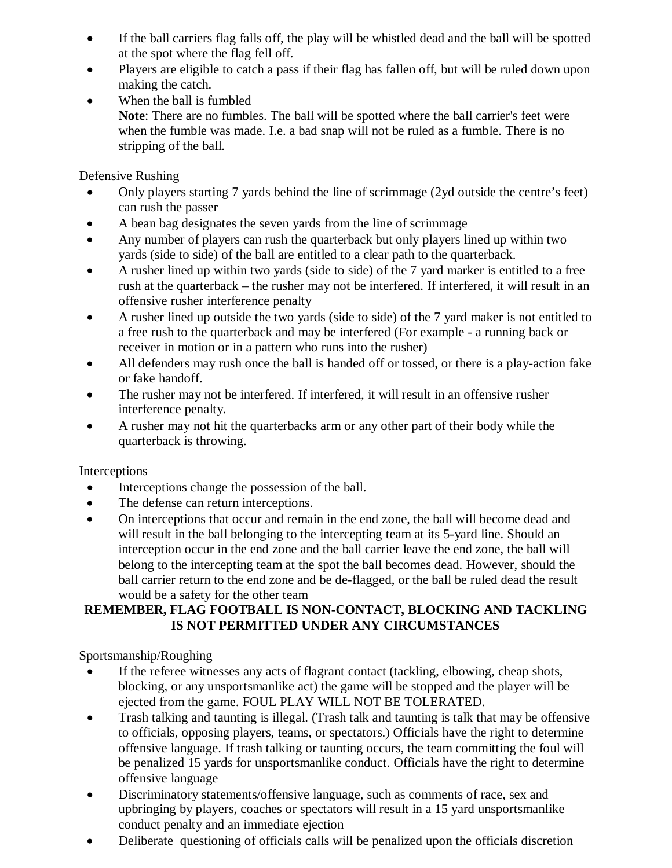- If the ball carriers flag falls off, the play will be whistled dead and the ball will be spotted at the spot where the flag fell off.
- Players are eligible to catch a pass if their flag has fallen off, but will be ruled down upon making the catch.
- When the ball is fumbled **Note**: There are no fumbles. The ball will be spotted where the ball carrier's feet were when the fumble was made. I.e. a bad snap will not be ruled as a fumble. There is no stripping of the ball.

## Defensive Rushing

- Only players starting 7 yards behind the line of scrimmage (2yd outside the centre's feet) can rush the passer
- A bean bag designates the seven yards from the line of scrimmage
- Any number of players can rush the quarterback but only players lined up within two yards (side to side) of the ball are entitled to a clear path to the quarterback.
- A rusher lined up within two yards (side to side) of the 7 yard marker is entitled to a free rush at the quarterback – the rusher may not be interfered. If interfered, it will result in an offensive rusher interference penalty
- A rusher lined up outside the two yards (side to side) of the 7 yard maker is not entitled to a free rush to the quarterback and may be interfered (For example - a running back or receiver in motion or in a pattern who runs into the rusher)
- All defenders may rush once the ball is handed off or tossed, or there is a play-action fake or fake handoff.
- The rusher may not be interfered. If interfered, it will result in an offensive rusher interference penalty.
- A rusher may not hit the quarterbacks arm or any other part of their body while the quarterback is throwing.

## Interceptions

- Interceptions change the possession of the ball.
- The defense can return interceptions.
- On interceptions that occur and remain in the end zone, the ball will become dead and will result in the ball belonging to the intercepting team at its 5-yard line. Should an interception occur in the end zone and the ball carrier leave the end zone, the ball will belong to the intercepting team at the spot the ball becomes dead. However, should the ball carrier return to the end zone and be de-flagged, or the ball be ruled dead the result would be a safety for the other team

#### **REMEMBER, FLAG FOOTBALL IS NON-CONTACT, BLOCKING AND TACKLING IS NOT PERMITTED UNDER ANY CIRCUMSTANCES**

## Sportsmanship/Roughing

- If the referee witnesses any acts of flagrant contact (tackling, elbowing, cheap shots, blocking, or any unsportsmanlike act) the game will be stopped and the player will be ejected from the game. FOUL PLAY WILL NOT BE TOLERATED.
- Trash talking and taunting is illegal. (Trash talk and taunting is talk that may be offensive to officials, opposing players, teams, or spectators.) Officials have the right to determine offensive language. If trash talking or taunting occurs, the team committing the foul will be penalized 15 yards for unsportsmanlike conduct. Officials have the right to determine offensive language
- Discriminatory statements/offensive language, such as comments of race, sex and upbringing by players, coaches or spectators will result in a 15 yard unsportsmanlike conduct penalty and an immediate ejection
- Deliberate questioning of officials calls will be penalized upon the officials discretion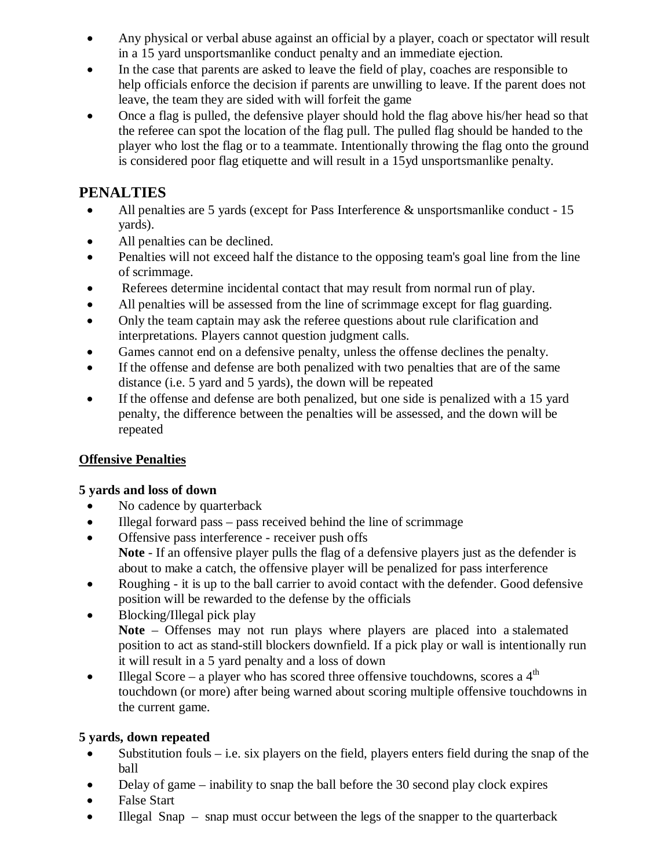- Any physical or verbal abuse against an official by a player, coach or spectator will result in a 15 yard unsportsmanlike conduct penalty and an immediate ejection.
- In the case that parents are asked to leave the field of play, coaches are responsible to help officials enforce the decision if parents are unwilling to leave. If the parent does not leave, the team they are sided with will forfeit the game
- Once a flag is pulled, the defensive player should hold the flag above his/her head so that the referee can spot the location of the flag pull. The pulled flag should be handed to the player who lost the flag or to a teammate. Intentionally throwing the flag onto the ground is considered poor flag etiquette and will result in a 15yd unsportsmanlike penalty.

## **PENALTIES**

- All penalties are 5 yards (except for Pass Interference & unsportsmanlike conduct 15 yards).
- All penalties can be declined.
- Penalties will not exceed half the distance to the opposing team's goal line from the line of scrimmage.
- Referees determine incidental contact that may result from normal run of play.
- All penalties will be assessed from the line of scrimmage except for flag guarding.
- Only the team captain may ask the referee questions about rule clarification and interpretations. Players cannot question judgment calls.
- Games cannot end on a defensive penalty, unless the offense declines the penalty.
- If the offense and defense are both penalized with two penalties that are of the same distance (i.e. 5 yard and 5 yards), the down will be repeated
- If the offense and defense are both penalized, but one side is penalized with a 15 yard penalty, the difference between the penalties will be assessed, and the down will be repeated

## **Offensive Penalties**

## **5 yards and loss of down**

- No cadence by quarterback
- Illegal forward pass pass received behind the line of scrimmage
- Offensive pass interference receiver push offs **Note** - If an offensive player pulls the flag of a defensive players just as the defender is about to make a catch, the offensive player will be penalized for pass interference
- Roughing it is up to the ball carrier to avoid contact with the defender. Good defensive position will be rewarded to the defense by the officials
- Blocking/Illegal pick play **Note** – Offenses may not run plays where players are placed into a stalemated position to act as stand-still blockers downfield. If a pick play or wall is intentionally run it will result in a 5 yard penalty and a loss of down
- Illegal Score a player who has scored three offensive touchdowns, scores a  $4<sup>th</sup>$ touchdown (or more) after being warned about scoring multiple offensive touchdowns in the current game.

## **5 yards, down repeated**

- Substitution fouls i.e. six players on the field, players enters field during the snap of the ball
- Delay of game inability to snap the ball before the 30 second play clock expires
- False Start
- Illegal Snap snap must occur between the legs of the snapper to the quarterback